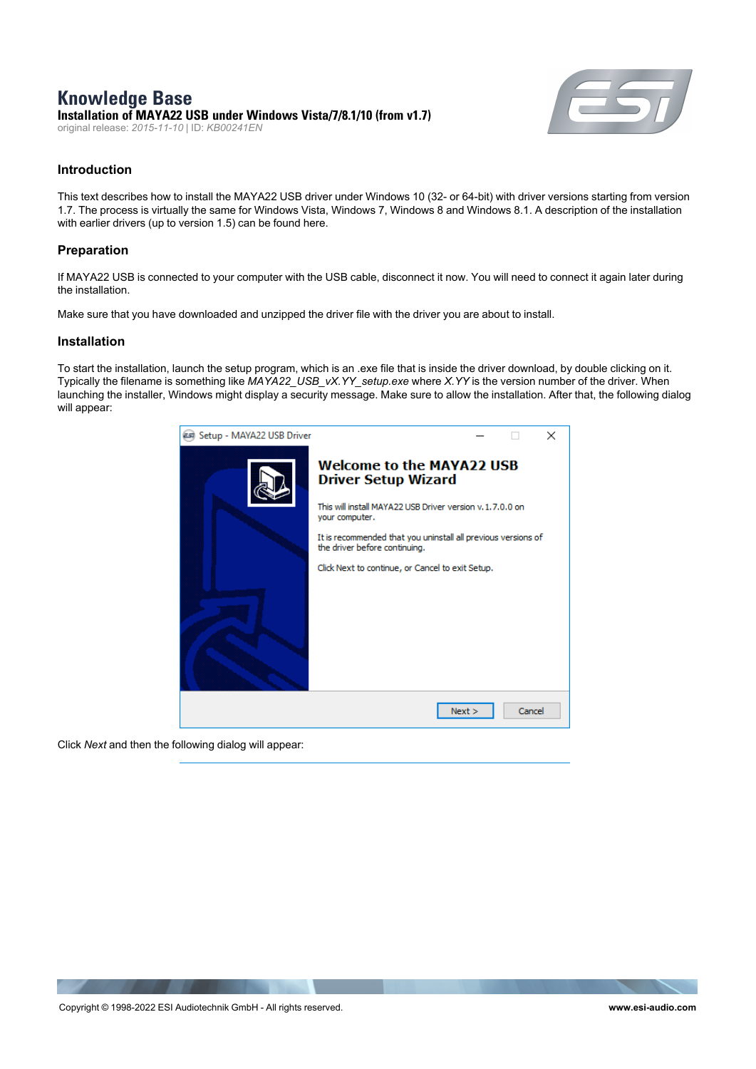## **Knowledge Base Installation of MAYA22 USB under Windows Vista/7/8.1/10 (from v1.7)**

original release: *2015-11-10* | ID: *KB00241EN*



### **Introduction**

This text describes how to install the MAYA22 USB driver under Windows 10 (32- or 64-bit) with driver versions starting from version 1.7. The process is virtually the same for Windows Vista, Windows 7, Windows 8 and Windows 8.1. A description of the installation with earlier drivers (up to version 1.5) can be found here.

### **Preparation**

If MAYA22 USB is connected to your computer with the USB cable, disconnect it now. You will need to connect it again later during the installation.

Make sure that you have downloaded and unzipped the driver file with the driver you are about to install.

#### **Installation**

To start the installation, launch the setup program, which is an .exe file that is inside the driver download, by double clicking on it. Typically the filename is something like *MAYA22\_USB\_vX.YY\_setup.exe* where *X.YY* is the version number of the driver. When launching the installer, Windows might display a security message. Make sure to allow the installation. After that, the following dialog will appear:



Click *Next* and then the following dialog will appear: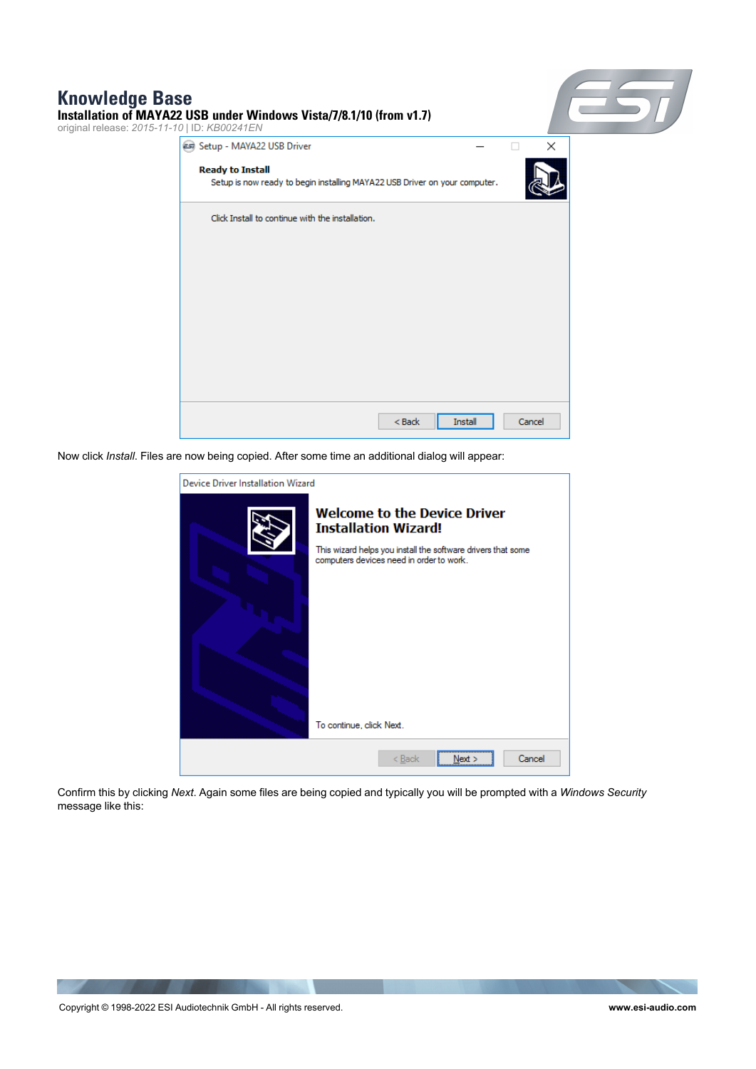# **Knowledge Base**



Now click *Install*. Files are now being copied. After some time an additional dialog will appear:



Confirm this by clicking *Next*. Again some files are being copied and typically you will be prompted with a *Windows Security* message like this: